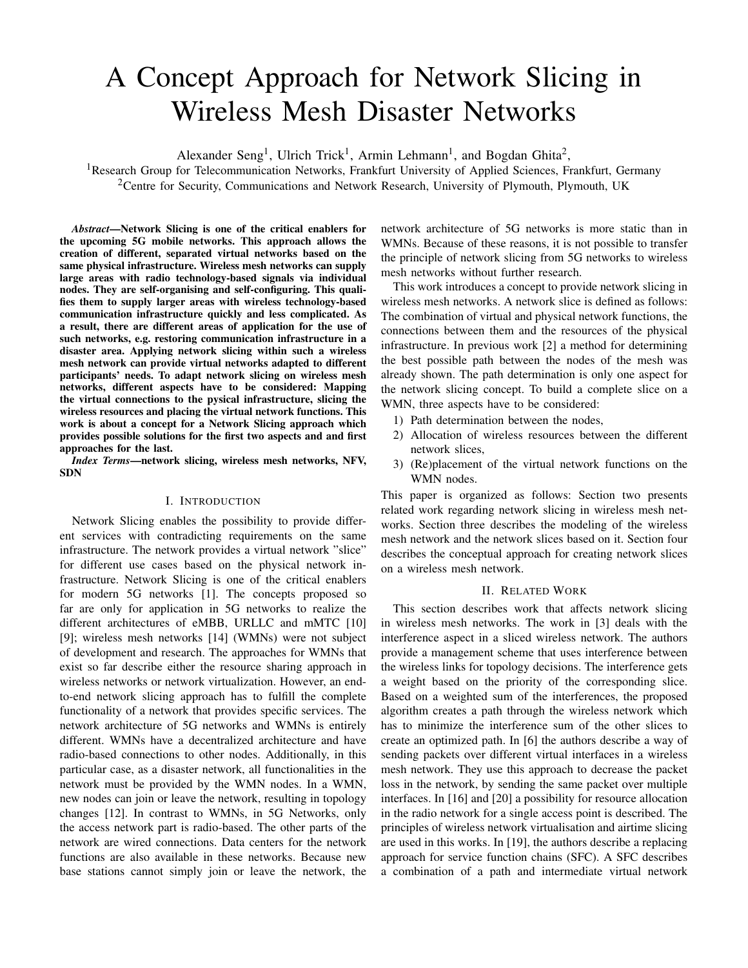# A Concept Approach for Network Slicing in Wireless Mesh Disaster Networks

Alexander Seng<sup>1</sup>, Ulrich Trick<sup>1</sup>, Armin Lehmann<sup>1</sup>, and Bogdan Ghita<sup>2</sup>,

<sup>1</sup>Research Group for Telecommunication Networks, Frankfurt University of Applied Sciences, Frankfurt, Germany <sup>2</sup>Centre for Security, Communications and Network Research, University of Plymouth, Plymouth, UK

*Abstract*—Network Slicing is one of the critical enablers for the upcoming 5G mobile networks. This approach allows the creation of different, separated virtual networks based on the same physical infrastructure. Wireless mesh networks can supply large areas with radio technology-based signals via individual nodes. They are self-organising and self-configuring. This qualifies them to supply larger areas with wireless technology-based communication infrastructure quickly and less complicated. As a result, there are different areas of application for the use of such networks, e.g. restoring communication infrastructure in a disaster area. Applying network slicing within such a wireless mesh network can provide virtual networks adapted to different participants' needs. To adapt network slicing on wireless mesh networks, different aspects have to be considered: Mapping the virtual connections to the pysical infrastructure, slicing the wireless resources and placing the virtual network functions. This work is about a concept for a Network Slicing approach which provides possible solutions for the first two aspects and and first approaches for the last.

*Index Terms*—network slicing, wireless mesh networks, NFV, SDN

# I. INTRODUCTION

Network Slicing enables the possibility to provide different services with contradicting requirements on the same infrastructure. The network provides a virtual network "slice" for different use cases based on the physical network infrastructure. Network Slicing is one of the critical enablers for modern 5G networks [1]. The concepts proposed so far are only for application in 5G networks to realize the different architectures of eMBB, URLLC and mMTC [10] [9]; wireless mesh networks [14] (WMNs) were not subject of development and research. The approaches for WMNs that exist so far describe either the resource sharing approach in wireless networks or network virtualization. However, an endto-end network slicing approach has to fulfill the complete functionality of a network that provides specific services. The network architecture of 5G networks and WMNs is entirely different. WMNs have a decentralized architecture and have radio-based connections to other nodes. Additionally, in this particular case, as a disaster network, all functionalities in the network must be provided by the WMN nodes. In a WMN, new nodes can join or leave the network, resulting in topology changes [12]. In contrast to WMNs, in 5G Networks, only the access network part is radio-based. The other parts of the network are wired connections. Data centers for the network functions are also available in these networks. Because new base stations cannot simply join or leave the network, the network architecture of 5G networks is more static than in WMNs. Because of these reasons, it is not possible to transfer the principle of network slicing from 5G networks to wireless mesh networks without further research.

This work introduces a concept to provide network slicing in wireless mesh networks. A network slice is defined as follows: The combination of virtual and physical network functions, the connections between them and the resources of the physical infrastructure. In previous work [2] a method for determining the best possible path between the nodes of the mesh was already shown. The path determination is only one aspect for the network slicing concept. To build a complete slice on a WMN, three aspects have to be considered:

- 1) Path determination between the nodes,
- 2) Allocation of wireless resources between the different network slices,
- 3) (Re)placement of the virtual network functions on the WMN nodes.

This paper is organized as follows: Section two presents related work regarding network slicing in wireless mesh networks. Section three describes the modeling of the wireless mesh network and the network slices based on it. Section four describes the conceptual approach for creating network slices on a wireless mesh network.

## II. RELATED WORK

This section describes work that affects network slicing in wireless mesh networks. The work in [3] deals with the interference aspect in a sliced wireless network. The authors provide a management scheme that uses interference between the wireless links for topology decisions. The interference gets a weight based on the priority of the corresponding slice. Based on a weighted sum of the interferences, the proposed algorithm creates a path through the wireless network which has to minimize the interference sum of the other slices to create an optimized path. In [6] the authors describe a way of sending packets over different virtual interfaces in a wireless mesh network. They use this approach to decrease the packet loss in the network, by sending the same packet over multiple interfaces. In [16] and [20] a possibility for resource allocation in the radio network for a single access point is described. The principles of wireless network virtualisation and airtime slicing are used in this works. In [19], the authors describe a replacing approach for service function chains (SFC). A SFC describes a combination of a path and intermediate virtual network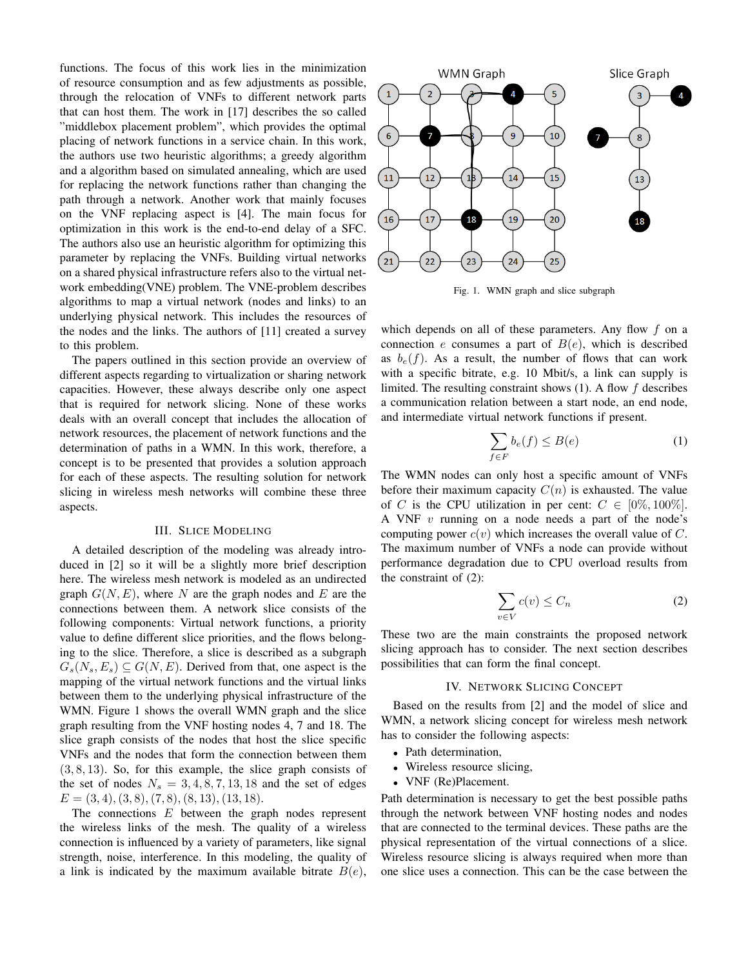functions. The focus of this work lies in the minimization of resource consumption and as few adjustments as possible, through the relocation of VNFs to different network parts that can host them. The work in [17] describes the so called "middlebox placement problem", which provides the optimal placing of network functions in a service chain. In this work, the authors use two heuristic algorithms; a greedy algorithm and a algorithm based on simulated annealing, which are used for replacing the network functions rather than changing the path through a network. Another work that mainly focuses on the VNF replacing aspect is [4]. The main focus for optimization in this work is the end-to-end delay of a SFC. The authors also use an heuristic algorithm for optimizing this parameter by replacing the VNFs. Building virtual networks on a shared physical infrastructure refers also to the virtual network embedding(VNE) problem. The VNE-problem describes algorithms to map a virtual network (nodes and links) to an underlying physical network. This includes the resources of the nodes and the links. The authors of [11] created a survey to this problem.

The papers outlined in this section provide an overview of different aspects regarding to virtualization or sharing network capacities. However, these always describe only one aspect that is required for network slicing. None of these works deals with an overall concept that includes the allocation of network resources, the placement of network functions and the determination of paths in a WMN. In this work, therefore, a concept is to be presented that provides a solution approach for each of these aspects. The resulting solution for network slicing in wireless mesh networks will combine these three aspects.

## III. SLICE MODELING

A detailed description of the modeling was already introduced in [2] so it will be a slightly more brief description here. The wireless mesh network is modeled as an undirected graph  $G(N, E)$ , where N are the graph nodes and E are the connections between them. A network slice consists of the following components: Virtual network functions, a priority value to define different slice priorities, and the flows belonging to the slice. Therefore, a slice is described as a subgraph  $G_s(N_s, E_s) \subseteq G(N, E)$ . Derived from that, one aspect is the mapping of the virtual network functions and the virtual links between them to the underlying physical infrastructure of the WMN. Figure 1 shows the overall WMN graph and the slice graph resulting from the VNF hosting nodes 4, 7 and 18. The slice graph consists of the nodes that host the slice specific VNFs and the nodes that form the connection between them  $(3, 8, 13)$ . So, for this example, the slice graph consists of the set of nodes  $N_s = 3, 4, 8, 7, 13, 18$  and the set of edges  $E = (3, 4), (3, 8), (7, 8), (8, 13), (13, 18).$ 

The connections  $E$  between the graph nodes represent the wireless links of the mesh. The quality of a wireless connection is influenced by a variety of parameters, like signal strength, noise, interference. In this modeling, the quality of a link is indicated by the maximum available bitrate  $B(e)$ ,



Fig. 1. WMN graph and slice subgraph

which depends on all of these parameters. Any flow  $f$  on a connection e consumes a part of  $B(e)$ , which is described as  $b_e(f)$ . As a result, the number of flows that can work with a specific bitrate, e.g. 10 Mbit/s, a link can supply is limited. The resulting constraint shows  $(1)$ . A flow f describes a communication relation between a start node, an end node, and intermediate virtual network functions if present.

$$
\sum_{f \in F} b_e(f) \le B(e) \tag{1}
$$

The WMN nodes can only host a specific amount of VNFs before their maximum capacity  $C(n)$  is exhausted. The value of C is the CPU utilization in per cent:  $C \in [0\%, 100\%]$ . A VNF  $v$  running on a node needs a part of the node's computing power  $c(v)$  which increases the overall value of C. The maximum number of VNFs a node can provide without performance degradation due to CPU overload results from the constraint of (2):

$$
\sum_{v \in V} c(v) \le C_n \tag{2}
$$

These two are the main constraints the proposed network slicing approach has to consider. The next section describes possibilities that can form the final concept.

## IV. NETWORK SLICING CONCEPT

Based on the results from [2] and the model of slice and WMN, a network slicing concept for wireless mesh network has to consider the following aspects:

- Path determination,
- Wireless resource slicing,
- VNF (Re)Placement.

Path determination is necessary to get the best possible paths through the network between VNF hosting nodes and nodes that are connected to the terminal devices. These paths are the physical representation of the virtual connections of a slice. Wireless resource slicing is always required when more than one slice uses a connection. This can be the case between the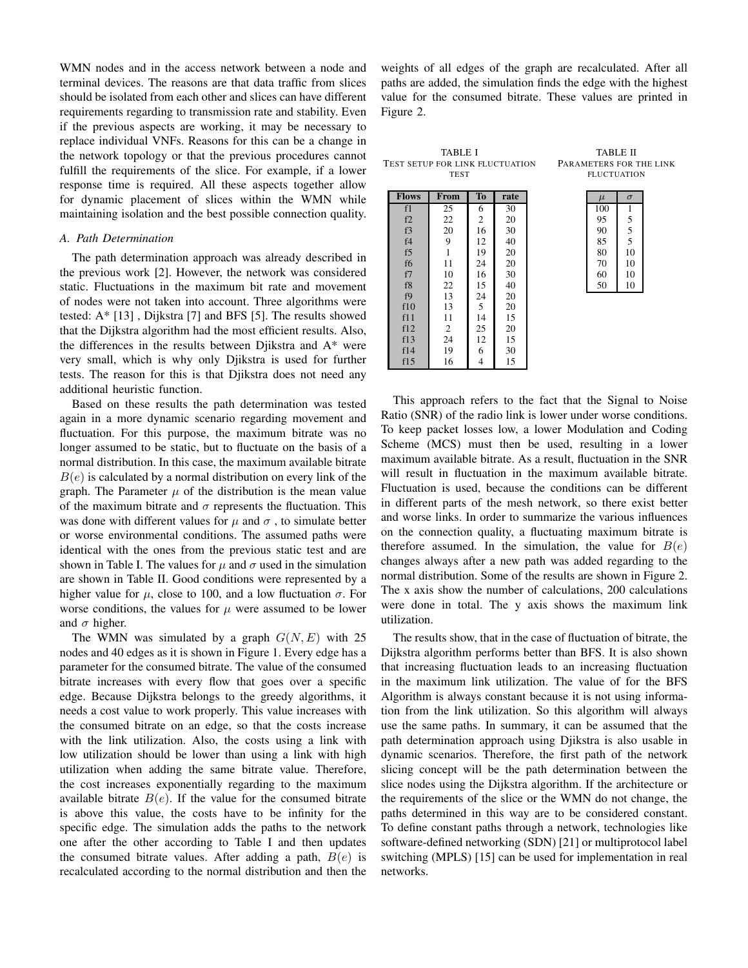WMN nodes and in the access network between a node and terminal devices. The reasons are that data traffic from slices should be isolated from each other and slices can have different requirements regarding to transmission rate and stability. Even if the previous aspects are working, it may be necessary to replace individual VNFs. Reasons for this can be a change in the network topology or that the previous procedures cannot fulfill the requirements of the slice. For example, if a lower response time is required. All these aspects together allow for dynamic placement of slices within the WMN while maintaining isolation and the best possible connection quality.

#### *A. Path Determination*

The path determination approach was already described in the previous work [2]. However, the network was considered static. Fluctuations in the maximum bit rate and movement of nodes were not taken into account. Three algorithms were tested: A\* [13] , Dijkstra [7] and BFS [5]. The results showed that the Dijkstra algorithm had the most efficient results. Also, the differences in the results between Djikstra and A\* were very small, which is why only Djikstra is used for further tests. The reason for this is that Djikstra does not need any additional heuristic function.

Based on these results the path determination was tested again in a more dynamic scenario regarding movement and fluctuation. For this purpose, the maximum bitrate was no longer assumed to be static, but to fluctuate on the basis of a normal distribution. In this case, the maximum available bitrate  $B(e)$  is calculated by a normal distribution on every link of the graph. The Parameter  $\mu$  of the distribution is the mean value of the maximum bitrate and  $\sigma$  represents the fluctuation. This was done with different values for  $\mu$  and  $\sigma$ , to simulate better or worse environmental conditions. The assumed paths were identical with the ones from the previous static test and are shown in Table I. The values for  $\mu$  and  $\sigma$  used in the simulation are shown in Table II. Good conditions were represented by a higher value for  $\mu$ , close to 100, and a low fluctuation  $\sigma$ . For worse conditions, the values for  $\mu$  were assumed to be lower and  $\sigma$  higher.

The WMN was simulated by a graph  $G(N, E)$  with 25 nodes and 40 edges as it is shown in Figure 1. Every edge has a parameter for the consumed bitrate. The value of the consumed bitrate increases with every flow that goes over a specific edge. Because Dijkstra belongs to the greedy algorithms, it needs a cost value to work properly. This value increases with the consumed bitrate on an edge, so that the costs increase with the link utilization. Also, the costs using a link with low utilization should be lower than using a link with high utilization when adding the same bitrate value. Therefore, the cost increases exponentially regarding to the maximum available bitrate  $B(e)$ . If the value for the consumed bitrate is above this value, the costs have to be infinity for the specific edge. The simulation adds the paths to the network one after the other according to Table I and then updates the consumed bitrate values. After adding a path,  $B(e)$  is recalculated according to the normal distribution and then the

weights of all edges of the graph are recalculated. After all paths are added, the simulation finds the edge with the highest value for the consumed bitrate. These values are printed in Figure 2.

TABLE I TEST SETUP FOR LINK FLUCTUATION TEST

| <b>Flows</b>   | From           | To             | rate |
|----------------|----------------|----------------|------|
| f1             | 25             | 6              | 30   |
| f2             | 22             | $\overline{2}$ | 20   |
| f3             | 20             | 16             | 30   |
| f4             | 9              | 12             | 40   |
| f5             | $\mathbf{1}$   | 19             | 20   |
| f <sub>6</sub> | 11             | 24             | 20   |
| f7             | 10             | 16             | 30   |
| f8             | 22             | 15             | 40   |
| f9             | 13             | 24             | 20   |
| f10            | 13             | 5              | 20   |
| f11            | 11             | 14             | 15   |
| f12            | $\overline{2}$ | 25             | 20   |
| f13            | 24             | 12             | 15   |
| f14            | 19             | 6              | 30   |
| f15            | 16             | $\overline{4}$ | 15   |

| PARAMETERS FOR THE LINK |  |
|-------------------------|--|
| <b>FLUCTUATION</b>      |  |
|                         |  |
|                         |  |
|                         |  |

TABLE II

| 100 |    |
|-----|----|
| 95  | 5  |
| 90  | 5  |
| 85  | 5  |
| 80  | 10 |
| 70  | 10 |
| 60  | 10 |
| 50  | 10 |

This approach refers to the fact that the Signal to Noise Ratio (SNR) of the radio link is lower under worse conditions. To keep packet losses low, a lower Modulation and Coding Scheme (MCS) must then be used, resulting in a lower maximum available bitrate. As a result, fluctuation in the SNR will result in fluctuation in the maximum available bitrate. Fluctuation is used, because the conditions can be different in different parts of the mesh network, so there exist better and worse links. In order to summarize the various influences on the connection quality, a fluctuating maximum bitrate is therefore assumed. In the simulation, the value for  $B(e)$ changes always after a new path was added regarding to the normal distribution. Some of the results are shown in Figure 2. The x axis show the number of calculations, 200 calculations were done in total. The y axis shows the maximum link utilization.

The results show, that in the case of fluctuation of bitrate, the Dijkstra algorithm performs better than BFS. It is also shown that increasing fluctuation leads to an increasing fluctuation in the maximum link utilization. The value of for the BFS Algorithm is always constant because it is not using information from the link utilization. So this algorithm will always use the same paths. In summary, it can be assumed that the path determination approach using Djikstra is also usable in dynamic scenarios. Therefore, the first path of the network slicing concept will be the path determination between the slice nodes using the Dijkstra algorithm. If the architecture or the requirements of the slice or the WMN do not change, the paths determined in this way are to be considered constant. To define constant paths through a network, technologies like software-defined networking (SDN) [21] or multiprotocol label switching (MPLS) [15] can be used for implementation in real networks.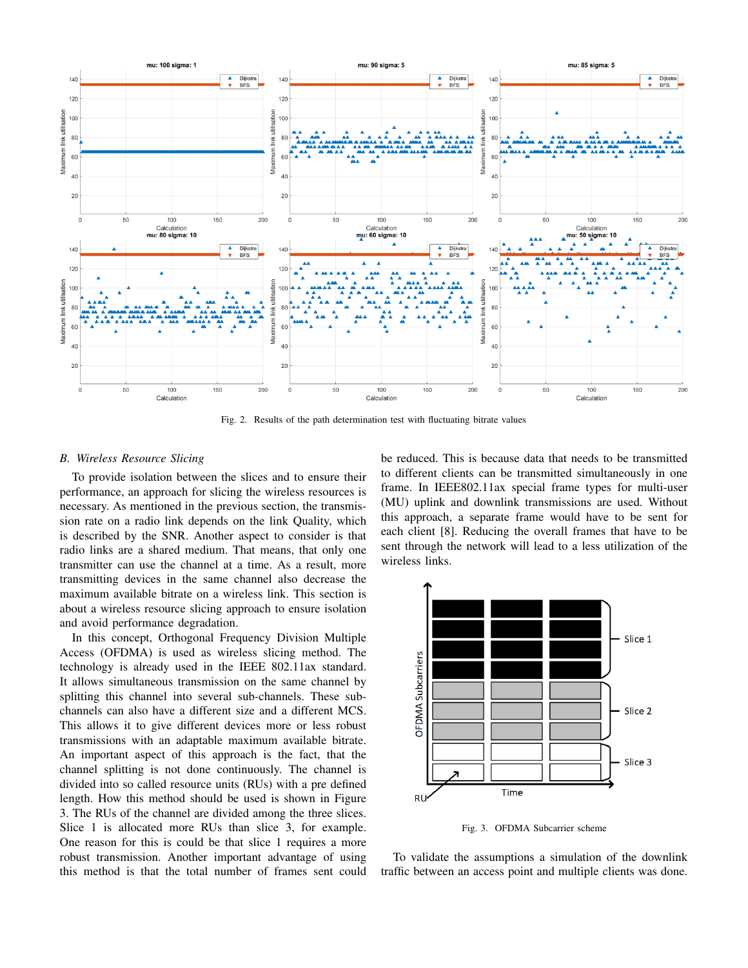

Fig. 2. Results of the path determination test with fluctuating bitrate values

## *B. Wireless Resource Slicing*

To provide isolation between the slices and to ensure their performance, an approach for slicing the wireless resources is necessary. As mentioned in the previous section, the transmission rate on a radio link depends on the link Quality, which is described by the SNR. Another aspect to consider is that radio links are a shared medium. That means, that only one transmitter can use the channel at a time. As a result, more transmitting devices in the same channel also decrease the maximum available bitrate on a wireless link. This section is about a wireless resource slicing approach to ensure isolation and avoid performance degradation.

In this concept, Orthogonal Frequency Division Multiple Access (OFDMA) is used as wireless slicing method. The technology is already used in the IEEE 802.11ax standard. It allows simultaneous transmission on the same channel by splitting this channel into several sub-channels. These subchannels can also have a different size and a different MCS. This allows it to give different devices more or less robust transmissions with an adaptable maximum available bitrate. An important aspect of this approach is the fact, that the channel splitting is not done continuously. The channel is divided into so called resource units (RUs) with a pre defined length. How this method should be used is shown in Figure 3. The RUs of the channel are divided among the three slices. Slice 1 is allocated more RUs than slice 3, for example. One reason for this is could be that slice 1 requires a more robust transmission. Another important advantage of using this method is that the total number of frames sent could be reduced. This is because data that needs to be transmitted to different clients can be transmitted simultaneously in one frame. In IEEE802.11ax special frame types for multi-user (MU) uplink and downlink transmissions are used. Without this approach, a separate frame would have to be sent for each client [8]. Reducing the overall frames that have to be sent through the network will lead to a less utilization of the wireless links.



Fig. 3. OFDMA Subcarrier scheme

To validate the assumptions a simulation of the downlink traffic between an access point and multiple clients was done.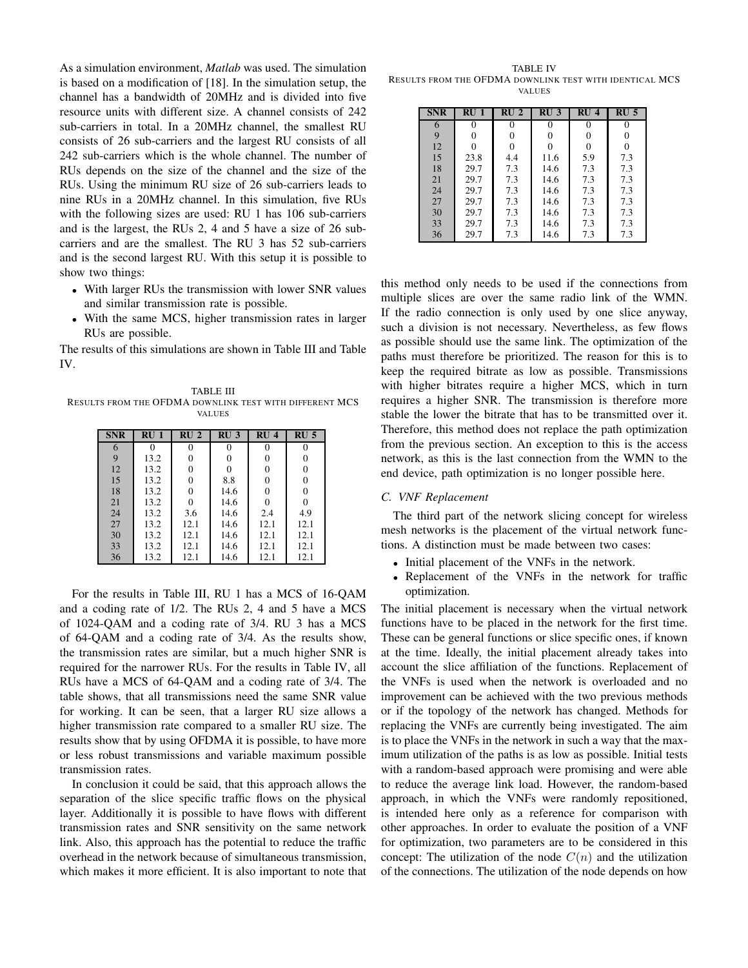As a simulation environment, *Matlab* was used. The simulation is based on a modification of [18]. In the simulation setup, the channel has a bandwidth of 20MHz and is divided into five resource units with different size. A channel consists of 242 sub-carriers in total. In a 20MHz channel, the smallest RU consists of 26 sub-carriers and the largest RU consists of all 242 sub-carriers which is the whole channel. The number of RUs depends on the size of the channel and the size of the RUs. Using the minimum RU size of 26 sub-carriers leads to nine RUs in a 20MHz channel. In this simulation, five RUs with the following sizes are used: RU 1 has 106 sub-carriers and is the largest, the RUs 2, 4 and 5 have a size of 26 subcarriers and are the smallest. The RU 3 has 52 sub-carriers and is the second largest RU. With this setup it is possible to show two things:

- With larger RUs the transmission with lower SNR values and similar transmission rate is possible.
- With the same MCS, higher transmission rates in larger RUs are possible.

The results of this simulations are shown in Table III and Table IV.

TABLE III RESULTS FROM THE OFDMA DOWNLINK TEST WITH DIFFERENT MCS VALUES

| <b>SNR</b> | RU <sub>1</sub> | RU <sub>2</sub> | RU <sub>3</sub> | RU <sub>4</sub> | RU <sub>5</sub> |
|------------|-----------------|-----------------|-----------------|-----------------|-----------------|
| 6          | 0               | $\Omega$        | 0               | $\Omega$        | $\theta$        |
| 9          | 13.2            | 0               | 0               | 0               | 0               |
| 12         | 13.2            | 0               | 0               | 0               | 0               |
| 15         | 13.2            | 0               | 8.8             | $\theta$        | 0               |
| 18         | 13.2            | 0               | 14.6            | $\theta$        | 0               |
| 21         | 13.2            | 0               | 14.6            | 0               | $\theta$        |
| 24         | 13.2            | 3.6             | 14.6            | 2.4             | 4.9             |
| 27         | 13.2            | 12.1            | 14.6            | 12.1            | 12.1            |
| 30         | 13.2            | 12.1            | 14.6            | 12.1            | 12.1            |
| 33         | 13.2            | 12.1            | 14.6            | 12.1            | 12.1            |
| 36         | 13.2            | 12.1            | 14.6            | 12.1            | 12.1            |

For the results in Table III, RU 1 has a MCS of 16-QAM and a coding rate of 1/2. The RUs 2, 4 and 5 have a MCS of 1024-QAM and a coding rate of 3/4. RU 3 has a MCS of 64-QAM and a coding rate of 3/4. As the results show, the transmission rates are similar, but a much higher SNR is required for the narrower RUs. For the results in Table IV, all RUs have a MCS of 64-QAM and a coding rate of 3/4. The table shows, that all transmissions need the same SNR value for working. It can be seen, that a larger RU size allows a higher transmission rate compared to a smaller RU size. The results show that by using OFDMA it is possible, to have more or less robust transmissions and variable maximum possible transmission rates.

In conclusion it could be said, that this approach allows the separation of the slice specific traffic flows on the physical layer. Additionally it is possible to have flows with different transmission rates and SNR sensitivity on the same network link. Also, this approach has the potential to reduce the traffic overhead in the network because of simultaneous transmission, which makes it more efficient. It is also important to note that

TABLE IV RESULTS FROM THE OFDMA DOWNLINK TEST WITH IDENTICAL MCS VALUES

| <b>SNR</b> | RU <sub>1</sub> | RU <sub>2</sub> | RU <sub>3</sub> | RU <sub>4</sub> | RU <sub>5</sub> |
|------------|-----------------|-----------------|-----------------|-----------------|-----------------|
| 6          | 0               | 0               | 0               | 0               | 0               |
| 9          | 0               | 0               |                 | 0               | 0               |
| 12         | 0               | 0               | 0               | 0               | 0               |
| 15         | 23.8            | 4.4             | 11.6            | 5.9             | 7.3             |
| 18         | 29.7            | 7.3             | 14.6            | 7.3             | 7.3             |
| 21         | 29.7            | 7.3             | 14.6            | 7.3             | 7.3             |
| 24         | 29.7            | 7.3             | 14.6            | 7.3             | 7.3             |
| 27         | 29.7            | 7.3             | 14.6            | 7.3             | 7.3             |
| 30         | 29.7            | 7.3             | 14.6            | 7.3             | 7.3             |
| 33         | 29.7            | 7.3             | 14.6            | 7.3             | 7.3             |
| 36         | 29.7            | 7.3             | 14.6            | 7.3             | 7.3             |

this method only needs to be used if the connections from multiple slices are over the same radio link of the WMN. If the radio connection is only used by one slice anyway, such a division is not necessary. Nevertheless, as few flows as possible should use the same link. The optimization of the paths must therefore be prioritized. The reason for this is to keep the required bitrate as low as possible. Transmissions with higher bitrates require a higher MCS, which in turn requires a higher SNR. The transmission is therefore more stable the lower the bitrate that has to be transmitted over it. Therefore, this method does not replace the path optimization from the previous section. An exception to this is the access network, as this is the last connection from the WMN to the end device, path optimization is no longer possible here.

## *C. VNF Replacement*

The third part of the network slicing concept for wireless mesh networks is the placement of the virtual network functions. A distinction must be made between two cases:

- Initial placement of the VNFs in the network.
- Replacement of the VNFs in the network for traffic optimization.

The initial placement is necessary when the virtual network functions have to be placed in the network for the first time. These can be general functions or slice specific ones, if known at the time. Ideally, the initial placement already takes into account the slice affiliation of the functions. Replacement of the VNFs is used when the network is overloaded and no improvement can be achieved with the two previous methods or if the topology of the network has changed. Methods for replacing the VNFs are currently being investigated. The aim is to place the VNFs in the network in such a way that the maximum utilization of the paths is as low as possible. Initial tests with a random-based approach were promising and were able to reduce the average link load. However, the random-based approach, in which the VNFs were randomly repositioned, is intended here only as a reference for comparison with other approaches. In order to evaluate the position of a VNF for optimization, two parameters are to be considered in this concept: The utilization of the node  $C(n)$  and the utilization of the connections. The utilization of the node depends on how